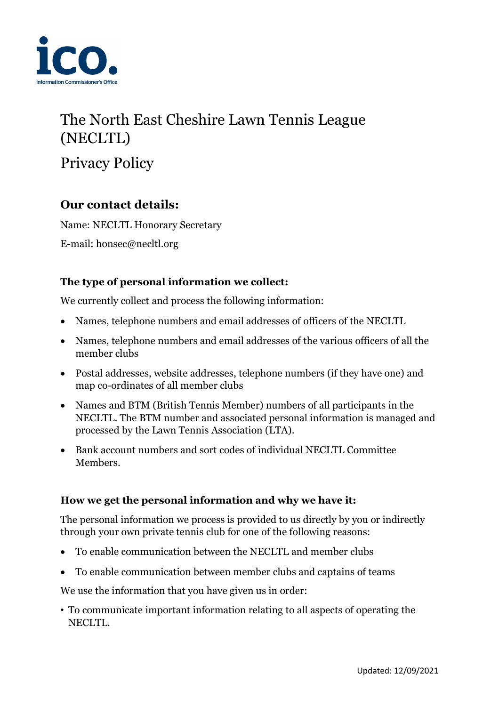

# The North East Cheshire Lawn Tennis League (NECLTL)

Privacy Policy

# **Our contact details:**

Name: NECLTL Honorary Secretary

E-mail: honsec@necltl.org

## **The type of personal information we collect:**

We currently collect and process the following information:

- Names, telephone numbers and email addresses of officers of the NECLTL
- Names, telephone numbers and email addresses of the various officers of all the member clubs
- Postal addresses, website addresses, telephone numbers (if they have one) and map co-ordinates of all member clubs
- Names and BTM (British Tennis Member) numbers of all participants in the NECLTL. The BTM number and associated personal information is managed and processed by the Lawn Tennis Association (LTA).
- Bank account numbers and sort codes of individual NECLTL Committee Members.

### **How we get the personal information and why we have it:**

The personal information we process is provided to us directly by you or indirectly through your own private tennis club for one of the following reasons:

- To enable communication between the NECLTL and member clubs
- To enable communication between member clubs and captains of teams

We use the information that you have given us in order:

• To communicate important information relating to all aspects of operating the NECLTL.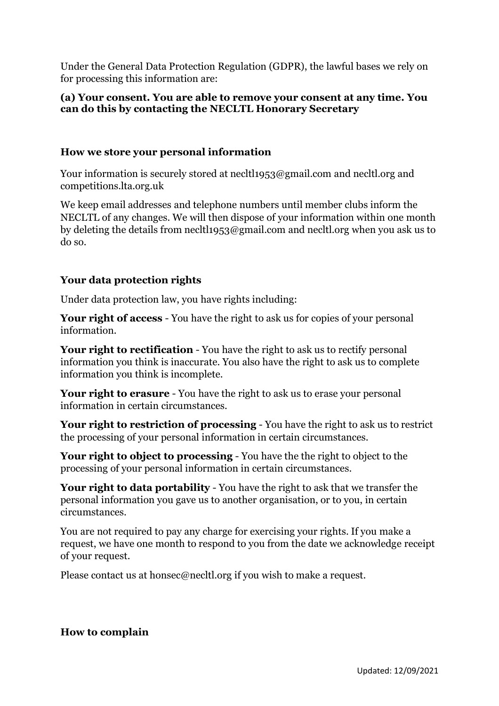Under the General Data Protection Regulation (GDPR), the lawful bases we rely on for processing this information are:

#### **(a) Your consent. You are able to remove your consent at any time. You can do this by contacting the NECLTL Honorary Secretary**

#### **How we store your personal information**

Your information is securely stored at necltl1953@gmail.com and necltl.org and competitions.lta.org.uk

We keep email addresses and telephone numbers until member clubs inform the NECLTL of any changes. We will then dispose of your information within one month by deleting the details from necltl1953@gmail.com and necltl.org when you ask us to do so.

#### **Your data protection rights**

Under data protection law, you have rights including:

**Your right of access** - You have the right to ask us for copies of your personal information.

**Your right to rectification** - You have the right to ask us to rectify personal information you think is inaccurate. You also have the right to ask us to complete information you think is incomplete.

**Your right to erasure** - You have the right to ask us to erase your personal information in certain circumstances.

**Your right to restriction of processing** - You have the right to ask us to restrict the processing of your personal information in certain circumstances.

**Your right to object to processing** - You have the the right to object to the processing of your personal information in certain circumstances.

**Your right to data portability** - You have the right to ask that we transfer the personal information you gave us to another organisation, or to you, in certain circumstances.

You are not required to pay any charge for exercising your rights. If you make a request, we have one month to respond to you from the date we acknowledge receipt of your request.

Please contact us at honsec@necltl.org if you wish to make a request.

#### **How to complain**